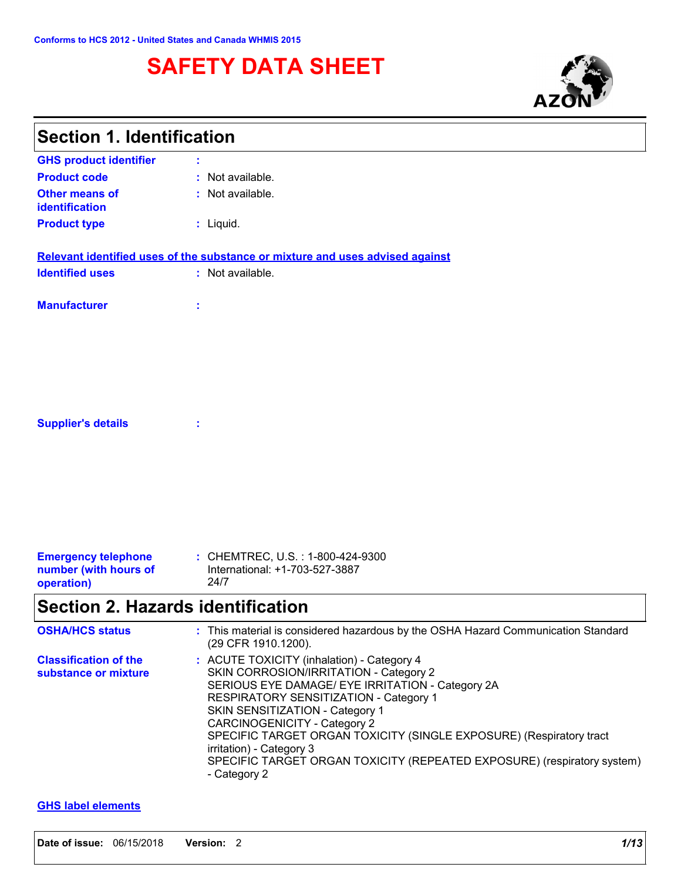# **SAFETY DATA SHEET**



┑

| <b>Section 1. Identification</b>                     |                                                                                                                                                                                                                                                                                                                                                                                                                                                            |
|------------------------------------------------------|------------------------------------------------------------------------------------------------------------------------------------------------------------------------------------------------------------------------------------------------------------------------------------------------------------------------------------------------------------------------------------------------------------------------------------------------------------|
| <b>GHS product identifier</b>                        |                                                                                                                                                                                                                                                                                                                                                                                                                                                            |
| <b>Product code</b>                                  | Not available.                                                                                                                                                                                                                                                                                                                                                                                                                                             |
| <b>Other means of</b><br>identification              | : Not available.                                                                                                                                                                                                                                                                                                                                                                                                                                           |
| <b>Product type</b>                                  | : Liquid.                                                                                                                                                                                                                                                                                                                                                                                                                                                  |
|                                                      | Relevant identified uses of the substance or mixture and uses advised against                                                                                                                                                                                                                                                                                                                                                                              |
| <b>Identified uses</b>                               | : Not available.                                                                                                                                                                                                                                                                                                                                                                                                                                           |
| <b>Manufacturer</b>                                  | t                                                                                                                                                                                                                                                                                                                                                                                                                                                          |
|                                                      |                                                                                                                                                                                                                                                                                                                                                                                                                                                            |
|                                                      |                                                                                                                                                                                                                                                                                                                                                                                                                                                            |
|                                                      |                                                                                                                                                                                                                                                                                                                                                                                                                                                            |
| <b>Supplier's details</b>                            | ÷                                                                                                                                                                                                                                                                                                                                                                                                                                                          |
|                                                      |                                                                                                                                                                                                                                                                                                                                                                                                                                                            |
|                                                      |                                                                                                                                                                                                                                                                                                                                                                                                                                                            |
|                                                      |                                                                                                                                                                                                                                                                                                                                                                                                                                                            |
| <b>Emergency telephone</b>                           | : CHEMTREC, U.S. : 1-800-424-9300                                                                                                                                                                                                                                                                                                                                                                                                                          |
| number (with hours of<br>operation)                  | International: +1-703-527-3887<br>24/7                                                                                                                                                                                                                                                                                                                                                                                                                     |
| <b>Section 2. Hazards identification</b>             |                                                                                                                                                                                                                                                                                                                                                                                                                                                            |
| <b>OSHA/HCS status</b>                               | This material is considered hazardous by the OSHA Hazard Communication Standard<br>(29 CFR 1910.1200).                                                                                                                                                                                                                                                                                                                                                     |
| <b>Classification of the</b><br>substance or mixture | : ACUTE TOXICITY (inhalation) - Category 4<br>SKIN CORROSION/IRRITATION - Category 2<br>SERIOUS EYE DAMAGE/ EYE IRRITATION - Category 2A<br>RESPIRATORY SENSITIZATION - Category 1<br>SKIN SENSITIZATION - Category 1<br><b>CARCINOGENICITY - Category 2</b><br>SPECIFIC TARGET ORGAN TOXICITY (SINGLE EXPOSURE) (Respiratory tract<br>irritation) - Category 3<br>SPECIFIC TARGET ORGAN TOXICITY (REPEATED EXPOSURE) (respiratory system)<br>- Category 2 |

### **GHS label elements**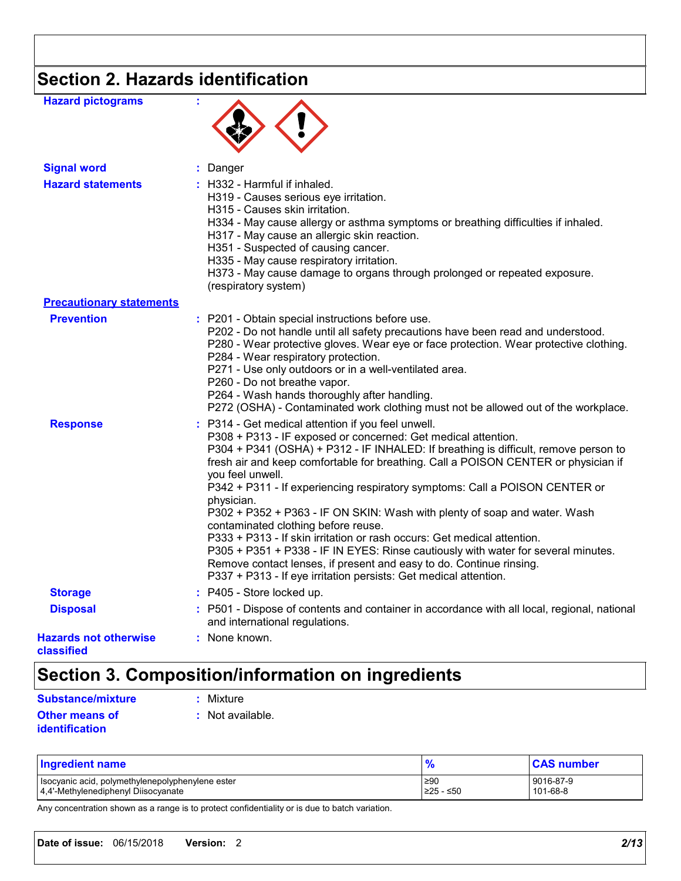# **Section 2. Hazards identification**

| <b>Hazard pictograms</b>                   |                                                                                                                                                                                                                                                                                                                                                                                                                                                                                                                                                                                                                                                                                                                                                                                                                                                  |
|--------------------------------------------|--------------------------------------------------------------------------------------------------------------------------------------------------------------------------------------------------------------------------------------------------------------------------------------------------------------------------------------------------------------------------------------------------------------------------------------------------------------------------------------------------------------------------------------------------------------------------------------------------------------------------------------------------------------------------------------------------------------------------------------------------------------------------------------------------------------------------------------------------|
| <b>Signal word</b>                         | Danger<br>t.                                                                                                                                                                                                                                                                                                                                                                                                                                                                                                                                                                                                                                                                                                                                                                                                                                     |
| <b>Hazard statements</b>                   | $:$ H332 - Harmful if inhaled.<br>H319 - Causes serious eye irritation.<br>H315 - Causes skin irritation.<br>H334 - May cause allergy or asthma symptoms or breathing difficulties if inhaled.<br>H317 - May cause an allergic skin reaction.<br>H351 - Suspected of causing cancer.<br>H335 - May cause respiratory irritation.<br>H373 - May cause damage to organs through prolonged or repeated exposure.<br>(respiratory system)                                                                                                                                                                                                                                                                                                                                                                                                            |
| <b>Precautionary statements</b>            |                                                                                                                                                                                                                                                                                                                                                                                                                                                                                                                                                                                                                                                                                                                                                                                                                                                  |
| <b>Prevention</b>                          | : P201 - Obtain special instructions before use.<br>P202 - Do not handle until all safety precautions have been read and understood.<br>P280 - Wear protective gloves. Wear eye or face protection. Wear protective clothing.<br>P284 - Wear respiratory protection.<br>P271 - Use only outdoors or in a well-ventilated area.<br>P260 - Do not breathe vapor.<br>P264 - Wash hands thoroughly after handling.<br>P272 (OSHA) - Contaminated work clothing must not be allowed out of the workplace.                                                                                                                                                                                                                                                                                                                                             |
| <b>Response</b>                            | : P314 - Get medical attention if you feel unwell.<br>P308 + P313 - IF exposed or concerned: Get medical attention.<br>P304 + P341 (OSHA) + P312 - IF INHALED: If breathing is difficult, remove person to<br>fresh air and keep comfortable for breathing. Call a POISON CENTER or physician if<br>you feel unwell.<br>P342 + P311 - If experiencing respiratory symptoms: Call a POISON CENTER or<br>physician.<br>P302 + P352 + P363 - IF ON SKIN: Wash with plenty of soap and water. Wash<br>contaminated clothing before reuse.<br>P333 + P313 - If skin irritation or rash occurs: Get medical attention.<br>P305 + P351 + P338 - IF IN EYES: Rinse cautiously with water for several minutes.<br>Remove contact lenses, if present and easy to do. Continue rinsing.<br>P337 + P313 - If eye irritation persists: Get medical attention. |
| <b>Storage</b>                             | : P405 - Store locked up.                                                                                                                                                                                                                                                                                                                                                                                                                                                                                                                                                                                                                                                                                                                                                                                                                        |
| <b>Disposal</b>                            | : P501 - Dispose of contents and container in accordance with all local, regional, national<br>and international regulations.                                                                                                                                                                                                                                                                                                                                                                                                                                                                                                                                                                                                                                                                                                                    |
| <b>Hazards not otherwise</b><br>classified | : None known.                                                                                                                                                                                                                                                                                                                                                                                                                                                                                                                                                                                                                                                                                                                                                                                                                                    |

# **Section 3. Composition/information on ingredients**

| Substance/mixture     | : Mixture        |
|-----------------------|------------------|
| <b>Other means of</b> | : Not available. |
| <i>identification</i> |                  |

| <b>Ingredient name</b>                           | $\mathbf{a}$ | <b>CAS number</b> |
|--------------------------------------------------|--------------|-------------------|
| Isocyanic acid, polymethylenepolyphenylene ester | ≥90          | 9016-87-9         |
| 4,4'-Methylenediphenyl Diisocyanate              | I≥25 - ≤50   | 101-68-8          |

Any concentration shown as a range is to protect confidentiality or is due to batch variation.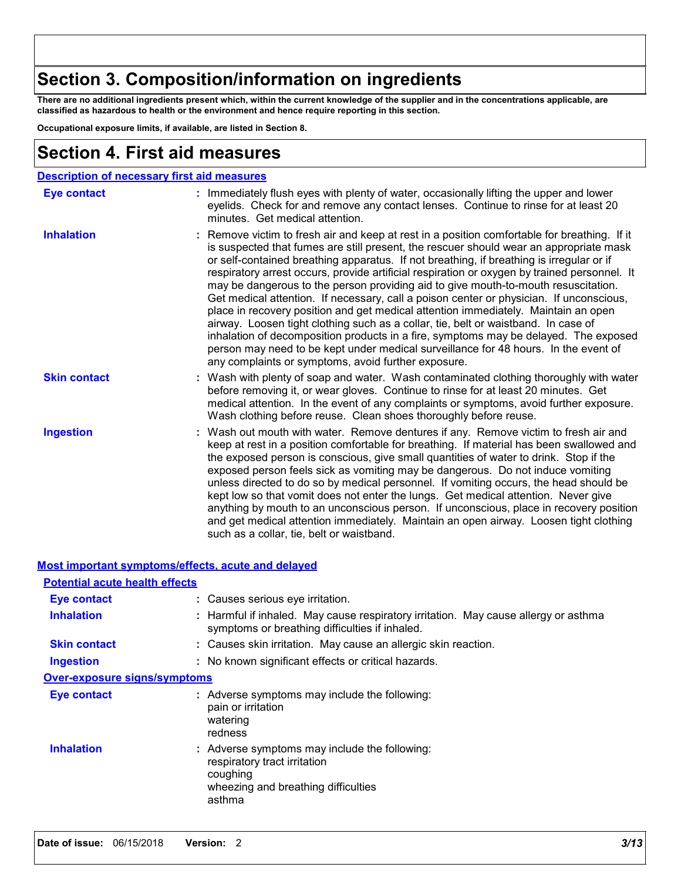## **Section 3. Composition/information on ingredients**

**There are no additional ingredients present which, within the current knowledge of the supplier and in the concentrations applicable, are classified as hazardous to health or the environment and hence require reporting in this section.**

**Occupational exposure limits, if available, are listed in Section 8.**

## **Section 4. First aid measures**

|                     | <b>Description of necessary first aid measures</b>                                                                                                                                                                                                                                                                                                                                                                                                                                                                                                                                                                                                                                                                                                                                                                                                                                                                                                                                    |
|---------------------|---------------------------------------------------------------------------------------------------------------------------------------------------------------------------------------------------------------------------------------------------------------------------------------------------------------------------------------------------------------------------------------------------------------------------------------------------------------------------------------------------------------------------------------------------------------------------------------------------------------------------------------------------------------------------------------------------------------------------------------------------------------------------------------------------------------------------------------------------------------------------------------------------------------------------------------------------------------------------------------|
| <b>Eye contact</b>  | : Immediately flush eyes with plenty of water, occasionally lifting the upper and lower<br>eyelids. Check for and remove any contact lenses. Continue to rinse for at least 20<br>minutes. Get medical attention.                                                                                                                                                                                                                                                                                                                                                                                                                                                                                                                                                                                                                                                                                                                                                                     |
| <b>Inhalation</b>   | : Remove victim to fresh air and keep at rest in a position comfortable for breathing. If it<br>is suspected that fumes are still present, the rescuer should wear an appropriate mask<br>or self-contained breathing apparatus. If not breathing, if breathing is irregular or if<br>respiratory arrest occurs, provide artificial respiration or oxygen by trained personnel. It<br>may be dangerous to the person providing aid to give mouth-to-mouth resuscitation.<br>Get medical attention. If necessary, call a poison center or physician. If unconscious,<br>place in recovery position and get medical attention immediately. Maintain an open<br>airway. Loosen tight clothing such as a collar, tie, belt or waistband. In case of<br>inhalation of decomposition products in a fire, symptoms may be delayed. The exposed<br>person may need to be kept under medical surveillance for 48 hours. In the event of<br>any complaints or symptoms, avoid further exposure. |
| <b>Skin contact</b> | : Wash with plenty of soap and water. Wash contaminated clothing thoroughly with water<br>before removing it, or wear gloves. Continue to rinse for at least 20 minutes. Get<br>medical attention. In the event of any complaints or symptoms, avoid further exposure.<br>Wash clothing before reuse. Clean shoes thoroughly before reuse.                                                                                                                                                                                                                                                                                                                                                                                                                                                                                                                                                                                                                                            |
| <b>Ingestion</b>    | : Wash out mouth with water. Remove dentures if any. Remove victim to fresh air and<br>keep at rest in a position comfortable for breathing. If material has been swallowed and<br>the exposed person is conscious, give small quantities of water to drink. Stop if the<br>exposed person feels sick as vomiting may be dangerous. Do not induce vomiting<br>unless directed to do so by medical personnel. If vomiting occurs, the head should be<br>kept low so that vomit does not enter the lungs. Get medical attention. Never give<br>anything by mouth to an unconscious person. If unconscious, place in recovery position<br>and get medical attention immediately. Maintain an open airway. Loosen tight clothing<br>such as a collar, tie, belt or waistband.                                                                                                                                                                                                             |

#### **Most important symptoms/effects, acute and delayed**

| <b>Potential acute health effects</b> |                                                                                                                                            |
|---------------------------------------|--------------------------------------------------------------------------------------------------------------------------------------------|
| Eye contact                           | : Causes serious eye irritation.                                                                                                           |
| <b>Inhalation</b>                     | : Harmful if inhaled. May cause respiratory irritation. May cause allergy or asthma<br>symptoms or breathing difficulties if inhaled.      |
| <b>Skin contact</b>                   | : Causes skin irritation. May cause an allergic skin reaction.                                                                             |
| Ingestion                             | : No known significant effects or critical hazards.                                                                                        |
| <b>Over-exposure signs/symptoms</b>   |                                                                                                                                            |
| <b>Eye contact</b>                    | : Adverse symptoms may include the following:<br>pain or irritation<br>watering<br>redness                                                 |
| <b>Inhalation</b>                     | : Adverse symptoms may include the following:<br>respiratory tract irritation<br>coughing<br>wheezing and breathing difficulties<br>asthma |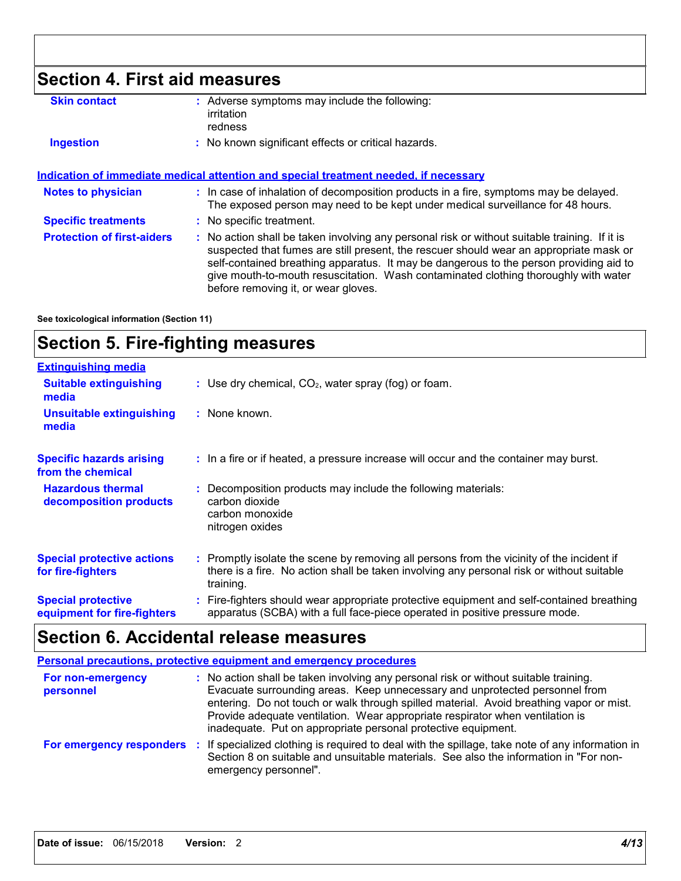# **Section 4. First aid measures**

| <b>Skin contact</b>                                                                         |  | : Adverse symptoms may include the following:<br>irritation<br>redness                                                                                                                                                                                                                                                                                                                                          |  |
|---------------------------------------------------------------------------------------------|--|-----------------------------------------------------------------------------------------------------------------------------------------------------------------------------------------------------------------------------------------------------------------------------------------------------------------------------------------------------------------------------------------------------------------|--|
| <b>Ingestion</b>                                                                            |  | : No known significant effects or critical hazards.                                                                                                                                                                                                                                                                                                                                                             |  |
| <u>Indication of immediate medical attention and special treatment needed, if necessary</u> |  |                                                                                                                                                                                                                                                                                                                                                                                                                 |  |
| <b>Notes to physician</b>                                                                   |  | : In case of inhalation of decomposition products in a fire, symptoms may be delayed.<br>The exposed person may need to be kept under medical surveillance for 48 hours.                                                                                                                                                                                                                                        |  |
| <b>Specific treatments</b>                                                                  |  | : No specific treatment.                                                                                                                                                                                                                                                                                                                                                                                        |  |
| <b>Protection of first-aiders</b>                                                           |  | : No action shall be taken involving any personal risk or without suitable training. If it is<br>suspected that fumes are still present, the rescuer should wear an appropriate mask or<br>self-contained breathing apparatus. It may be dangerous to the person providing aid to<br>give mouth-to-mouth resuscitation. Wash contaminated clothing thoroughly with water<br>before removing it, or wear gloves. |  |

**See toxicological information (Section 11)**

## **Section 5. Fire-fighting measures**

| <b>Extinguishing media</b>                               |                                                                                                                                                                                                     |
|----------------------------------------------------------|-----------------------------------------------------------------------------------------------------------------------------------------------------------------------------------------------------|
| <b>Suitable extinguishing</b><br>media                   | : Use dry chemical, $CO2$ , water spray (fog) or foam.                                                                                                                                              |
| <b>Unsuitable extinguishing</b><br>media                 | : None known.                                                                                                                                                                                       |
| <b>Specific hazards arising</b><br>from the chemical     | : In a fire or if heated, a pressure increase will occur and the container may burst.                                                                                                               |
| <b>Hazardous thermal</b><br>decomposition products       | Decomposition products may include the following materials:<br>carbon dioxide<br>carbon monoxide<br>nitrogen oxides                                                                                 |
| <b>Special protective actions</b><br>for fire-fighters   | : Promptly isolate the scene by removing all persons from the vicinity of the incident if<br>there is a fire. No action shall be taken involving any personal risk or without suitable<br>training. |
| <b>Special protective</b><br>equipment for fire-fighters | : Fire-fighters should wear appropriate protective equipment and self-contained breathing<br>apparatus (SCBA) with a full face-piece operated in positive pressure mode.                            |

## **Section 6. Accidental release measures**

|                                | <b>Personal precautions, protective equipment and emergency procedures</b>                                                                                                                                                                                                                                                                                                                                       |
|--------------------------------|------------------------------------------------------------------------------------------------------------------------------------------------------------------------------------------------------------------------------------------------------------------------------------------------------------------------------------------------------------------------------------------------------------------|
| For non-emergency<br>personnel | : No action shall be taken involving any personal risk or without suitable training.<br>Evacuate surrounding areas. Keep unnecessary and unprotected personnel from<br>entering. Do not touch or walk through spilled material. Avoid breathing vapor or mist.<br>Provide adequate ventilation. Wear appropriate respirator when ventilation is<br>inadequate. Put on appropriate personal protective equipment. |
| For emergency responders       | : If specialized clothing is required to deal with the spillage, take note of any information in<br>Section 8 on suitable and unsuitable materials. See also the information in "For non-<br>emergency personnel".                                                                                                                                                                                               |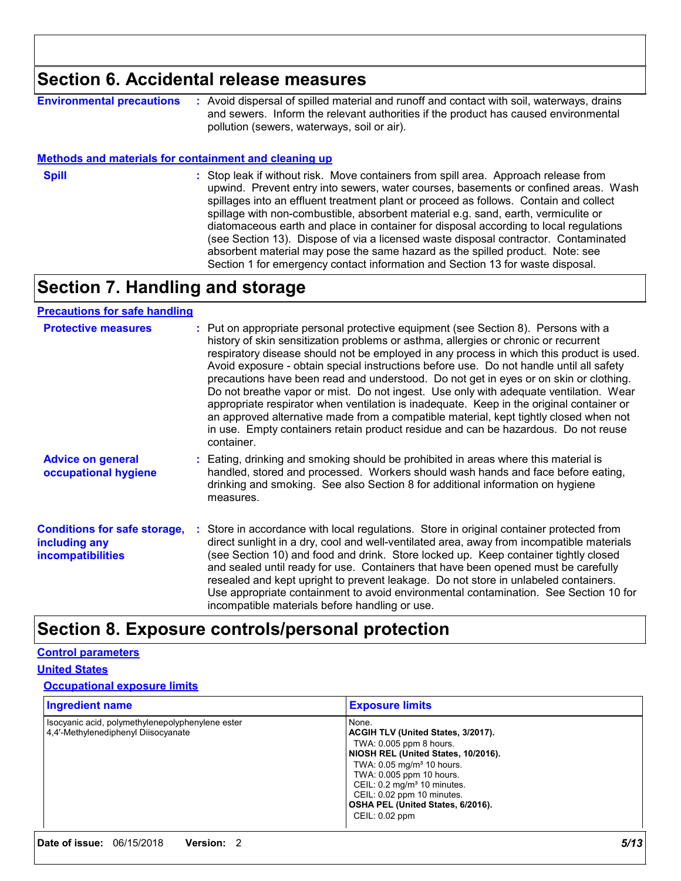## **Section 6. Accidental release measures**

**Environmental precautions :** Avoid dispersal of spilled material and runoff and contact with soil, waterways, drains and sewers. Inform the relevant authorities if the product has caused environmental pollution (sewers, waterways, soil or air).

#### **Methods and materials for containment and cleaning up**

**Spill** Stop leak if without risk. Move containers from spill area. Approach release from spill upwind. Prevent entry into sewers, water courses, basements or confined areas. Wash spillages into an effluent treatment plant or proceed as follows. Contain and collect spillage with non-combustible, absorbent material e.g. sand, earth, vermiculite or diatomaceous earth and place in container for disposal according to local regulations (see Section 13). Dispose of via a licensed waste disposal contractor. Contaminated absorbent material may pose the same hazard as the spilled product. Note: see Section 1 for emergency contact information and Section 13 for waste disposal.

## **Section 7. Handling and storage**

### **Precautions for safe handling**

| <b>Protective measures</b>                                                       | : Put on appropriate personal protective equipment (see Section 8). Persons with a<br>history of skin sensitization problems or asthma, allergies or chronic or recurrent<br>respiratory disease should not be employed in any process in which this product is used.<br>Avoid exposure - obtain special instructions before use. Do not handle until all safety<br>precautions have been read and understood. Do not get in eyes or on skin or clothing.<br>Do not breathe vapor or mist. Do not ingest. Use only with adequate ventilation. Wear<br>appropriate respirator when ventilation is inadequate. Keep in the original container or<br>an approved alternative made from a compatible material, kept tightly closed when not<br>in use. Empty containers retain product residue and can be hazardous. Do not reuse<br>container. |
|----------------------------------------------------------------------------------|---------------------------------------------------------------------------------------------------------------------------------------------------------------------------------------------------------------------------------------------------------------------------------------------------------------------------------------------------------------------------------------------------------------------------------------------------------------------------------------------------------------------------------------------------------------------------------------------------------------------------------------------------------------------------------------------------------------------------------------------------------------------------------------------------------------------------------------------|
| <b>Advice on general</b><br>occupational hygiene                                 | : Eating, drinking and smoking should be prohibited in areas where this material is<br>handled, stored and processed. Workers should wash hands and face before eating,<br>drinking and smoking. See also Section 8 for additional information on hygiene<br>measures.                                                                                                                                                                                                                                                                                                                                                                                                                                                                                                                                                                      |
| <b>Conditions for safe storage,</b><br>including any<br><b>incompatibilities</b> | : Store in accordance with local regulations. Store in original container protected from<br>direct sunlight in a dry, cool and well-ventilated area, away from incompatible materials<br>(see Section 10) and food and drink. Store locked up. Keep container tightly closed<br>and sealed until ready for use. Containers that have been opened must be carefully<br>resealed and kept upright to prevent leakage. Do not store in unlabeled containers.<br>Use appropriate containment to avoid environmental contamination. See Section 10 for<br>incompatible materials before handling or use.                                                                                                                                                                                                                                         |

## **Section 8. Exposure controls/personal protection**

#### **Control parameters**

#### **United States**

#### **Occupational exposure limits**

| <b>Ingredient name</b>                                                                  | <b>Exposure limits</b>                                                                                                                                                                                                                                                                                               |
|-----------------------------------------------------------------------------------------|----------------------------------------------------------------------------------------------------------------------------------------------------------------------------------------------------------------------------------------------------------------------------------------------------------------------|
| Isocyanic acid, polymethylenepolyphenylene ester<br>4.4'-Methylenediphenyl Diisocyanate | None.<br>ACGIH TLV (United States, 3/2017).<br>TWA: 0.005 ppm 8 hours.<br>NIOSH REL (United States, 10/2016).<br>TWA: 0.05 mg/m <sup>3</sup> 10 hours.<br>TWA: 0.005 ppm 10 hours.<br>CEIL: 0.2 mg/m <sup>3</sup> 10 minutes.<br>CEIL: 0.02 ppm 10 minutes.<br>OSHA PEL (United States, 6/2016).<br>CEIL: $0.02$ ppm |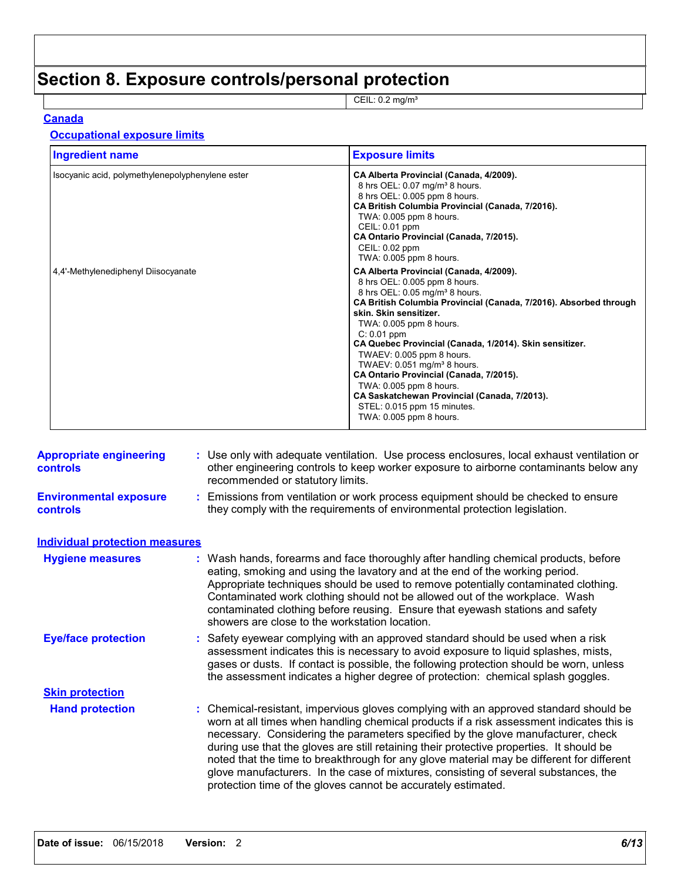# **Section 8. Exposure controls/personal protection**

CEIL: 0.2 mg/m³

### **Canada**

### **Occupational exposure limits**

| <b>Ingredient name</b>                           | <b>Exposure limits</b>                                                                                                                                                                                                                                                                                                                                                                                                                                                                                                                                                                 |
|--------------------------------------------------|----------------------------------------------------------------------------------------------------------------------------------------------------------------------------------------------------------------------------------------------------------------------------------------------------------------------------------------------------------------------------------------------------------------------------------------------------------------------------------------------------------------------------------------------------------------------------------------|
| Isocyanic acid, polymethylenepolyphenylene ester | CA Alberta Provincial (Canada, 4/2009).<br>8 hrs OEL: 0.07 mg/m <sup>3</sup> 8 hours.<br>8 hrs OEL: 0.005 ppm 8 hours.<br>CA British Columbia Provincial (Canada, 7/2016).<br>TWA: 0.005 ppm 8 hours.<br>CEIL: 0.01 ppm<br>CA Ontario Provincial (Canada, 7/2015).<br>CEIL: 0.02 ppm<br>TWA: 0.005 ppm 8 hours.                                                                                                                                                                                                                                                                        |
| 4,4'-Methylenediphenyl Diisocyanate              | CA Alberta Provincial (Canada, 4/2009).<br>8 hrs OEL: 0.005 ppm 8 hours.<br>8 hrs OEL: 0.05 mg/m <sup>3</sup> 8 hours.<br>CA British Columbia Provincial (Canada, 7/2016). Absorbed through<br>skin. Skin sensitizer.<br>TWA: 0.005 ppm 8 hours.<br>$C: 0.01$ ppm<br>CA Quebec Provincial (Canada, 1/2014). Skin sensitizer.<br>TWAEV: 0.005 ppm 8 hours.<br>TWAEV: $0.051$ mg/m <sup>3</sup> 8 hours.<br>CA Ontario Provincial (Canada, 7/2015).<br>TWA: 0.005 ppm 8 hours.<br>CA Saskatchewan Provincial (Canada, 7/2013).<br>STEL: 0.015 ppm 15 minutes.<br>TWA: 0.005 ppm 8 hours. |

| <b>Appropriate engineering</b><br><b>controls</b> | : Use only with adequate ventilation. Use process enclosures, local exhaust ventilation or<br>other engineering controls to keep worker exposure to airborne contaminants below any<br>recommended or statutory limits.                                                                                                                                                                                                                                                                                                                                                                                                |
|---------------------------------------------------|------------------------------------------------------------------------------------------------------------------------------------------------------------------------------------------------------------------------------------------------------------------------------------------------------------------------------------------------------------------------------------------------------------------------------------------------------------------------------------------------------------------------------------------------------------------------------------------------------------------------|
| <b>Environmental exposure</b><br><b>controls</b>  | : Emissions from ventilation or work process equipment should be checked to ensure<br>they comply with the requirements of environmental protection legislation.                                                                                                                                                                                                                                                                                                                                                                                                                                                       |
| <b>Individual protection measures</b>             |                                                                                                                                                                                                                                                                                                                                                                                                                                                                                                                                                                                                                        |
| <b>Hygiene measures</b>                           | : Wash hands, forearms and face thoroughly after handling chemical products, before<br>eating, smoking and using the lavatory and at the end of the working period.<br>Appropriate techniques should be used to remove potentially contaminated clothing.<br>Contaminated work clothing should not be allowed out of the workplace. Wash<br>contaminated clothing before reusing. Ensure that eyewash stations and safety<br>showers are close to the workstation location.                                                                                                                                            |
| <b>Eye/face protection</b>                        | : Safety eyewear complying with an approved standard should be used when a risk<br>assessment indicates this is necessary to avoid exposure to liquid splashes, mists,<br>gases or dusts. If contact is possible, the following protection should be worn, unless<br>the assessment indicates a higher degree of protection: chemical splash goggles.                                                                                                                                                                                                                                                                  |
| <b>Skin protection</b>                            |                                                                                                                                                                                                                                                                                                                                                                                                                                                                                                                                                                                                                        |
| <b>Hand protection</b>                            | : Chemical-resistant, impervious gloves complying with an approved standard should be<br>worn at all times when handling chemical products if a risk assessment indicates this is<br>necessary. Considering the parameters specified by the glove manufacturer, check<br>during use that the gloves are still retaining their protective properties. It should be<br>noted that the time to breakthrough for any glove material may be different for different<br>glove manufacturers. In the case of mixtures, consisting of several substances, the<br>protection time of the gloves cannot be accurately estimated. |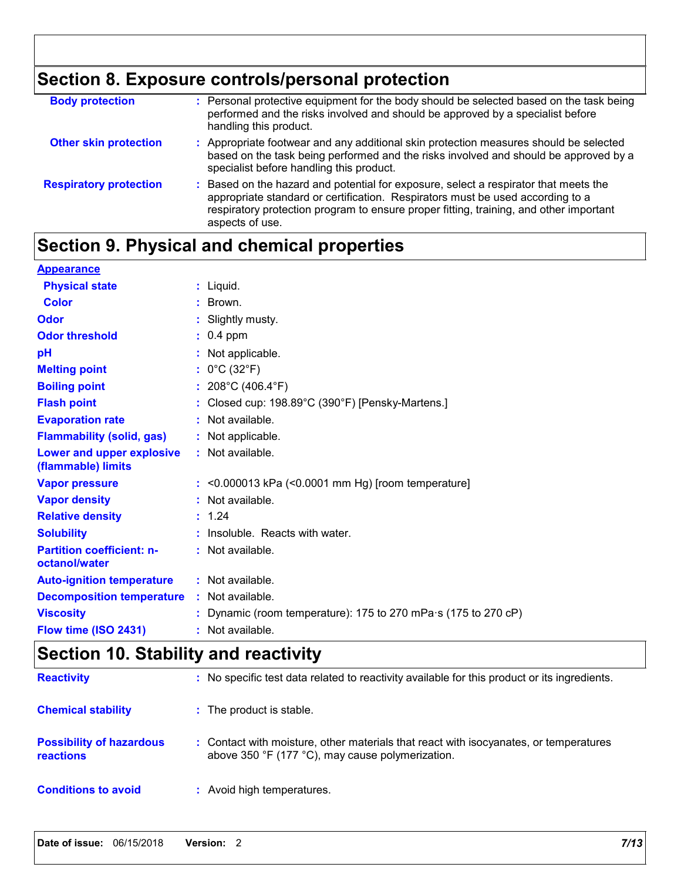# **Section 8. Exposure controls/personal protection**

| <b>Body protection</b>        | : Personal protective equipment for the body should be selected based on the task being<br>performed and the risks involved and should be approved by a specialist before<br>handling this product.                                                                                 |
|-------------------------------|-------------------------------------------------------------------------------------------------------------------------------------------------------------------------------------------------------------------------------------------------------------------------------------|
| <b>Other skin protection</b>  | : Appropriate footwear and any additional skin protection measures should be selected<br>based on the task being performed and the risks involved and should be approved by a<br>specialist before handling this product.                                                           |
| <b>Respiratory protection</b> | : Based on the hazard and potential for exposure, select a respirator that meets the<br>appropriate standard or certification. Respirators must be used according to a<br>respiratory protection program to ensure proper fitting, training, and other important<br>aspects of use. |

# **Section 9. Physical and chemical properties**

| <b>Appearance</b>                                 |                                                                |
|---------------------------------------------------|----------------------------------------------------------------|
| <b>Physical state</b>                             | : Liquid.                                                      |
| <b>Color</b>                                      | : Brown.                                                       |
| Odor                                              | : Slightly musty.                                              |
| <b>Odor threshold</b>                             | $: 0.4$ ppm                                                    |
| pH                                                | : Not applicable.                                              |
| <b>Melting point</b>                              | : $0^{\circ}$ C (32 $^{\circ}$ F)                              |
| <b>Boiling point</b>                              | : $208^{\circ}$ C (406.4 $^{\circ}$ F)                         |
| <b>Flash point</b>                                | : Closed cup: 198.89°C (390°F) [Pensky-Martens.]               |
| <b>Evaporation rate</b>                           | : Not available.                                               |
| <b>Flammability (solid, gas)</b>                  | : Not applicable.                                              |
| Lower and upper explosive<br>(flammable) limits   | : Not available.                                               |
| <b>Vapor pressure</b>                             | $:$ <0.000013 kPa (<0.0001 mm Hg) [room temperature]           |
| <b>Vapor density</b>                              | : Not available.                                               |
| <b>Relative density</b>                           | : 1.24                                                         |
| <b>Solubility</b>                                 | : Insoluble. Reacts with water.                                |
| <b>Partition coefficient: n-</b><br>octanol/water | : Not available.                                               |
| <b>Auto-ignition temperature</b>                  | : Not available.                                               |
| <b>Decomposition temperature</b>                  | : Not available.                                               |
| <b>Viscosity</b>                                  | : Dynamic (room temperature): 175 to 270 mPa·s (175 to 270 cP) |
| Flow time (ISO 2431)                              | : Not available.                                               |

# **Section 10. Stability and reactivity**

| <b>Reactivity</b>                            | : No specific test data related to reactivity available for this product or its ingredients.                                              |
|----------------------------------------------|-------------------------------------------------------------------------------------------------------------------------------------------|
| <b>Chemical stability</b>                    | : The product is stable.                                                                                                                  |
| <b>Possibility of hazardous</b><br>reactions | : Contact with moisture, other materials that react with isocyanates, or temperatures<br>above 350 °F (177 °C), may cause polymerization. |
| <b>Conditions to avoid</b>                   | : Avoid high temperatures.                                                                                                                |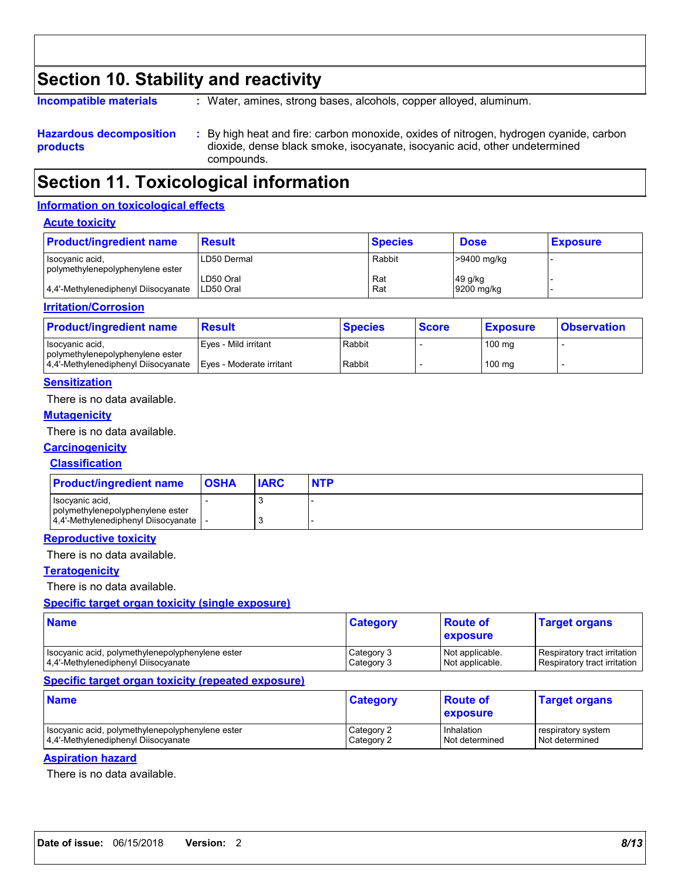## **Section 10. Stability and reactivity**

**Incompatible materials :**

Water, amines, strong bases, alcohols, copper alloyed, aluminum.

**Hazardous decomposition products** By high heat and fire: carbon monoxide, oxides of nitrogen, hydrogen cyanide, carbon **:** dioxide, dense black smoke, isocyanate, isocyanic acid, other undetermined compounds.

## **Section 11. Toxicological information**

#### **Information on toxicological effects**

#### **Acute toxicity**

| <b>Product/ingredient name</b>                      | <b>Result</b>          | <b>Species</b> | <b>Dose</b> | <b>Exposure</b> |
|-----------------------------------------------------|------------------------|----------------|-------------|-----------------|
| Isocyanic acid,<br>polymethylenepolyphenylene ester | LD50 Dermal            | Rabbit         | >9400 mg/kg |                 |
|                                                     | LD50 Oral<br>LD50 Oral | Rat<br>Rat     | 49 g/kg     |                 |
| 4.4'-Methylenediphenyl Diisocyanate<br>.            |                        |                | 9200 mg/kg  |                 |

#### **Irritation/Corrosion**

| <b>Product/ingredient name</b>                      | <b>Result</b>            | <b>Species</b> | <b>Score</b> | <b>Exposure</b>  | <b>Observation</b> |
|-----------------------------------------------------|--------------------------|----------------|--------------|------------------|--------------------|
| Isocyanic acid.<br>polymethylenepolyphenylene ester | Eves - Mild irritant     | Rabbit         |              | $100 \text{ mg}$ |                    |
| 4.4'-Methylenediphenyl Diisocyanate                 | Eyes - Moderate irritant | Rabbit         |              | $100 \text{ mg}$ |                    |

#### **Sensitization**

There is no data available.

#### **Mutagenicity**

There is no data available.

#### **Carcinogenicity**

#### **Classification**

| <b>Product/ingredient name</b>                      | <b>OSHA</b> | <b>IARC</b> | <b>NTP</b> |
|-----------------------------------------------------|-------------|-------------|------------|
| Isocyanic acid,<br>polymethylenepolyphenylene ester |             |             |            |
| 4.4'-Methylenediphenyl Diisocyanate                 |             |             |            |

#### **Reproductive toxicity**

There is no data available.

#### **Teratogenicity**

There is no data available.

#### **Specific target organ toxicity (single exposure)**

| <b>Name</b>                                      | <b>Category</b> | <b>Route of</b><br><b>exposure</b> | <b>Target organs</b>         |
|--------------------------------------------------|-----------------|------------------------------------|------------------------------|
| Isocyanic acid, polymethylenepolyphenylene ester | Category 3      | Not applicable.                    | Respiratory tract irritation |
| 4.4'-Methylenediphenyl Diisocyanate              | Category 3      | Not applicable.                    | Respiratory tract irritation |

#### **Specific target organ toxicity (repeated exposure)**

| <b>Name</b>                                        | <b>Category</b> | <b>Route of</b><br><b>Lexposure</b> | <b>Target organs</b> |
|----------------------------------------------------|-----------------|-------------------------------------|----------------------|
| I Isocyanic acid, polymethylenepolyphenylene ester | Category 2      | <b>Inhalation</b>                   | respiratory system   |
| 4.4'-Methylenediphenyl Diisocyanate                | Category 2      | Not determined                      | l Not determined     |

### **Aspiration hazard**

There is no data available.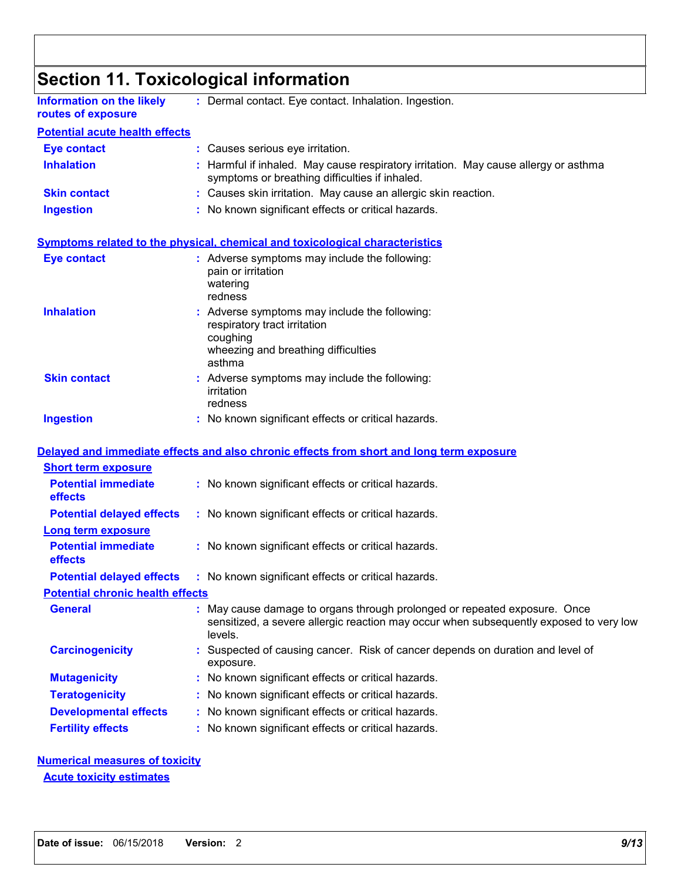|                                                        | <b>Section 11. Toxicological information</b>                                                                                                                                 |
|--------------------------------------------------------|------------------------------------------------------------------------------------------------------------------------------------------------------------------------------|
| <b>Information on the likely</b><br>routes of exposure | : Dermal contact. Eye contact. Inhalation. Ingestion.                                                                                                                        |
| <b>Potential acute health effects</b>                  |                                                                                                                                                                              |
| <b>Eye contact</b>                                     | : Causes serious eye irritation.                                                                                                                                             |
| <b>Inhalation</b>                                      | : Harmful if inhaled. May cause respiratory irritation. May cause allergy or asthma<br>symptoms or breathing difficulties if inhaled.                                        |
| <b>Skin contact</b>                                    | : Causes skin irritation. May cause an allergic skin reaction.                                                                                                               |
| <b>Ingestion</b>                                       | : No known significant effects or critical hazards.                                                                                                                          |
|                                                        | <b>Symptoms related to the physical, chemical and toxicological characteristics</b>                                                                                          |
| <b>Eye contact</b>                                     | : Adverse symptoms may include the following:<br>pain or irritation<br>watering<br>redness                                                                                   |
| <b>Inhalation</b>                                      | Adverse symptoms may include the following:<br>respiratory tract irritation<br>coughing<br>wheezing and breathing difficulties<br>asthma                                     |
| <b>Skin contact</b>                                    | : Adverse symptoms may include the following:<br>irritation<br>redness                                                                                                       |
| <b>Ingestion</b>                                       | : No known significant effects or critical hazards.                                                                                                                          |
|                                                        | Delayed and immediate effects and also chronic effects from short and long term exposure                                                                                     |
| <b>Short term exposure</b>                             |                                                                                                                                                                              |
| <b>Potential immediate</b><br>effects                  | : No known significant effects or critical hazards.                                                                                                                          |
| <b>Potential delayed effects</b>                       | : No known significant effects or critical hazards.                                                                                                                          |
| <b>Long term exposure</b>                              |                                                                                                                                                                              |
| <b>Potential immediate</b><br>effects                  | : No known significant effects or critical hazards.                                                                                                                          |
| <b>Potential delayed effects</b>                       | : No known significant effects or critical hazards.                                                                                                                          |
| <b>Potential chronic health effects</b>                |                                                                                                                                                                              |
| <b>General</b>                                         | May cause damage to organs through prolonged or repeated exposure. Once<br>sensitized, a severe allergic reaction may occur when subsequently exposed to very low<br>levels. |
| <b>Carcinogenicity</b>                                 | : Suspected of causing cancer. Risk of cancer depends on duration and level of<br>exposure.                                                                                  |
| <b>Mutagenicity</b>                                    | No known significant effects or critical hazards.                                                                                                                            |
| <b>Teratogenicity</b>                                  | No known significant effects or critical hazards.                                                                                                                            |
| <b>Developmental effects</b>                           | No known significant effects or critical hazards.                                                                                                                            |
| <b>Fertility effects</b>                               | No known significant effects or critical hazards.                                                                                                                            |

# **Numerical measures of toxicity**

**Acute toxicity estimates**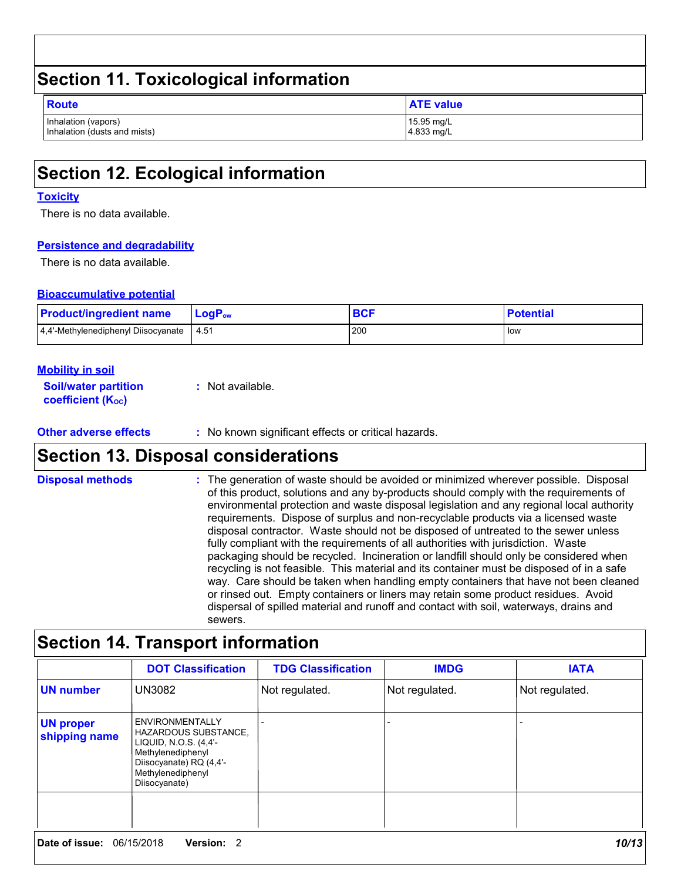| Section 11. Toxicological information               |                          |  |  |
|-----------------------------------------------------|--------------------------|--|--|
| <b>Route</b>                                        | <b>ATE value</b>         |  |  |
| Inhalation (vapors)<br>Inhalation (dusts and mists) | 15.95 mg/L<br>4.833 mg/L |  |  |

## **Section 12. Ecological information**

#### **Toxicity**

There is no data available.

#### **Persistence and degradability**

There is no data available.

#### **Bioaccumulative potential**

| <b>Product/ingredient name</b>      | LogP <sub>ow</sub> | $P^{\prime}$ | <b>Potential</b> |
|-------------------------------------|--------------------|--------------|------------------|
| 4.4'-Methylenediphenyl Diisocyanate | -4.51              | 200          | low              |

#### **Mobility in soil**

**Soil/water partition coefficient (KOC) :** Not available.

**Other adverse effects :** No known significant effects or critical hazards.

## **Section 13. Disposal considerations**

The generation of waste should be avoided or minimized wherever possible. Disposal of this product, solutions and any by-products should comply with the requirements of environmental protection and waste disposal legislation and any regional local authority requirements. Dispose of surplus and non-recyclable products via a licensed waste disposal contractor. Waste should not be disposed of untreated to the sewer unless fully compliant with the requirements of all authorities with jurisdiction. Waste packaging should be recycled. Incineration or landfill should only be considered when recycling is not feasible. This material and its container must be disposed of in a safe way. Care should be taken when handling empty containers that have not been cleaned or rinsed out. Empty containers or liners may retain some product residues. Avoid dispersal of spilled material and runoff and contact with soil, waterways, drains and sewers. **Disposal methods :**

## **Section 14. Transport information**

|                                   | <b>DOT Classification</b>                                                                                                                                            | <b>TDG Classification</b> | <b>IMDG</b>    | <b>IATA</b>    |
|-----------------------------------|----------------------------------------------------------------------------------------------------------------------------------------------------------------------|---------------------------|----------------|----------------|
| <b>UN number</b>                  | UN3082                                                                                                                                                               | Not regulated.            | Not regulated. | Not regulated. |
| <b>UN proper</b><br>shipping name | <b>ENVIRONMENTALLY</b><br><b>HAZARDOUS SUBSTANCE,</b><br>LIQUID, N.O.S. (4,4'-<br>Methylenediphenyl<br>Diisocyanate) RQ (4,4'-<br>Methylenediphenyl<br>Diisocyanate) |                           |                |                |
|                                   |                                                                                                                                                                      |                           |                |                |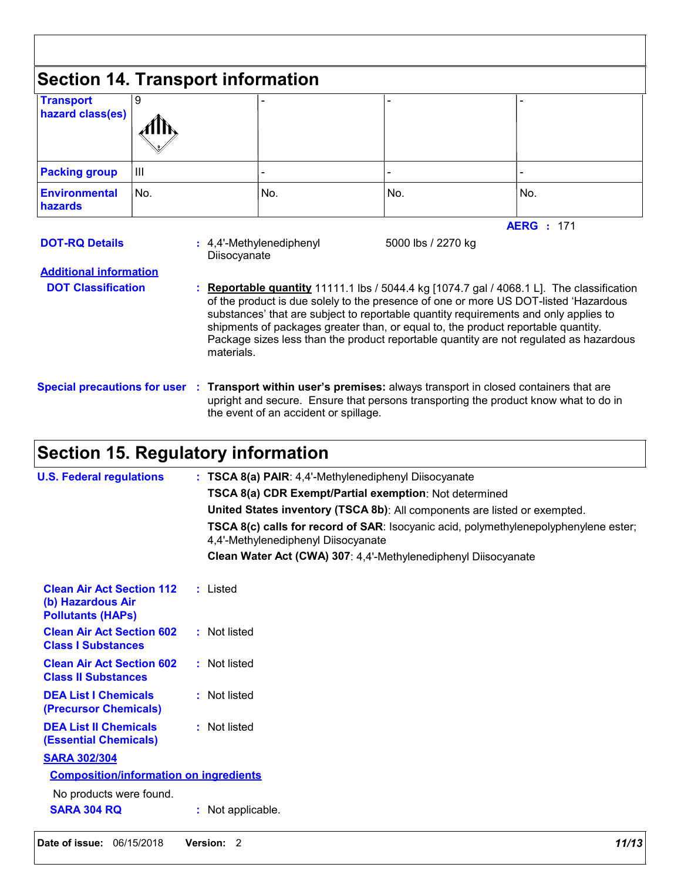| <b>Transport</b><br>hazard class(es)                                                | 9   |            |                                          |                    |                                                                                                                                                                                                                                                                                                                                                                                                                                                                                    |
|-------------------------------------------------------------------------------------|-----|------------|------------------------------------------|--------------------|------------------------------------------------------------------------------------------------------------------------------------------------------------------------------------------------------------------------------------------------------------------------------------------------------------------------------------------------------------------------------------------------------------------------------------------------------------------------------------|
| <b>Packing group</b>                                                                | Ш   |            |                                          |                    |                                                                                                                                                                                                                                                                                                                                                                                                                                                                                    |
| <b>Environmental</b><br>hazards                                                     | No. |            | No.                                      | No.                | No.                                                                                                                                                                                                                                                                                                                                                                                                                                                                                |
| <b>DOT-RQ Details</b><br><b>Additional information</b><br><b>DOT Classification</b> |     | materials. | : 4,4'-Methylenediphenyl<br>Diisocyanate | 5000 lbs / 2270 kg | <b>AERG</b> : 171<br><b>Reportable quantity</b> 11111.1 lbs / 5044.4 kg [1074.7 gal / 4068.1 L]. The classification<br>of the product is due solely to the presence of one or more US DOT-listed 'Hazardous<br>substances' that are subject to reportable quantity requirements and only applies to<br>shipments of packages greater than, or equal to, the product reportable quantity.<br>Package sizes less than the product reportable quantity are not regulated as hazardous |

# **Section 15. Regulatory information**

| <b>U.S. Federal regulations</b>                                                   | : TSCA 8(a) PAIR: 4,4'-Methylenediphenyl Diisocyanate                                                                       |  |  |
|-----------------------------------------------------------------------------------|-----------------------------------------------------------------------------------------------------------------------------|--|--|
|                                                                                   | <b>TSCA 8(a) CDR Exempt/Partial exemption: Not determined</b>                                                               |  |  |
|                                                                                   | United States inventory (TSCA 8b): All components are listed or exempted.                                                   |  |  |
|                                                                                   | TSCA 8(c) calls for record of SAR: Isocyanic acid, polymethylenepolyphenylene ester;<br>4,4'-Methylenediphenyl Diisocyanate |  |  |
|                                                                                   | Clean Water Act (CWA) 307: 4,4'-Methylenediphenyl Diisocyanate                                                              |  |  |
| <b>Clean Air Act Section 112</b><br>(b) Hazardous Air<br><b>Pollutants (HAPS)</b> | : Listed                                                                                                                    |  |  |
| <b>Clean Air Act Section 602</b><br><b>Class I Substances</b>                     | : Not listed                                                                                                                |  |  |
| <b>Clean Air Act Section 602</b><br><b>Class II Substances</b>                    | : Not listed                                                                                                                |  |  |
| <b>DEA List I Chemicals</b><br>(Precursor Chemicals)                              | : Not listed                                                                                                                |  |  |
| <b>DEA List II Chemicals</b><br><b>(Essential Chemicals)</b>                      | : Not listed                                                                                                                |  |  |
| <b>SARA 302/304</b>                                                               |                                                                                                                             |  |  |
| <b>Composition/information on ingredients</b>                                     |                                                                                                                             |  |  |
| No products were found.                                                           |                                                                                                                             |  |  |
| <b>SARA 304 RQ</b>                                                                | : Not applicable.                                                                                                           |  |  |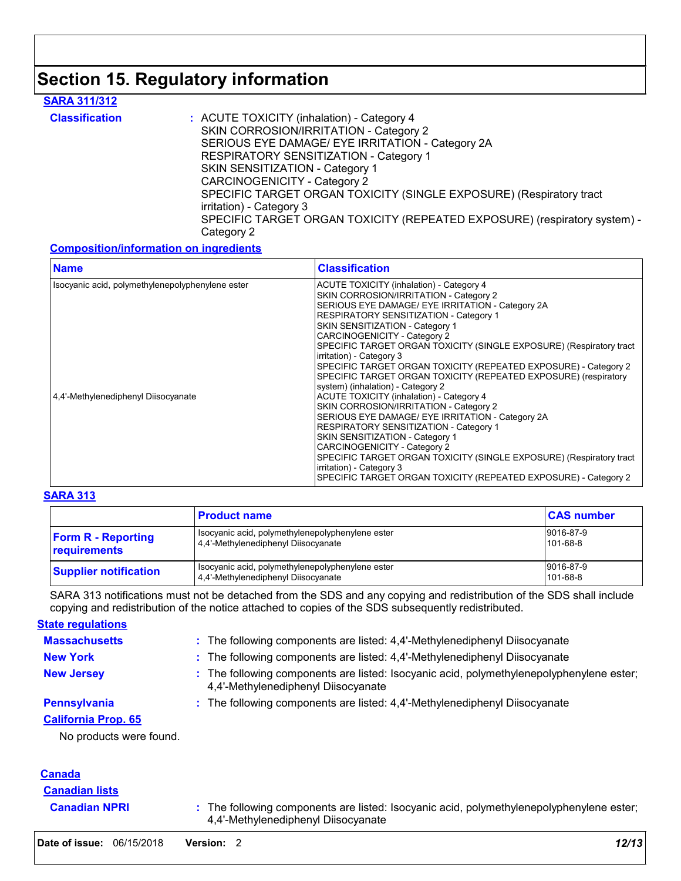## **Section 15. Regulatory information**

### **SARA 311/312**

| <b>Classification</b> | : ACUTE TOXICITY (inhalation) - Category 4                                |  |  |
|-----------------------|---------------------------------------------------------------------------|--|--|
|                       | SKIN CORROSION/IRRITATION - Category 2                                    |  |  |
|                       | SERIOUS EYE DAMAGE/ EYE IRRITATION - Category 2A                          |  |  |
|                       | RESPIRATORY SENSITIZATION - Category 1                                    |  |  |
|                       | SKIN SENSITIZATION - Category 1                                           |  |  |
|                       | <b>CARCINOGENICITY - Category 2</b>                                       |  |  |
|                       | SPECIFIC TARGET ORGAN TOXICITY (SINGLE EXPOSURE) (Respiratory tract       |  |  |
|                       | irritation) - Category 3                                                  |  |  |
|                       | SPECIFIC TARGET ORGAN TOXICITY (REPEATED EXPOSURE) (respiratory system) - |  |  |
|                       | Category 2                                                                |  |  |

### **Composition/information on ingredients**

| <b>Name</b>                                      | <b>Classification</b>                                                                                                                                                                                                                                                 |
|--------------------------------------------------|-----------------------------------------------------------------------------------------------------------------------------------------------------------------------------------------------------------------------------------------------------------------------|
| Isocyanic acid, polymethylenepolyphenylene ester | ACUTE TOXICITY (inhalation) - Category 4<br>SKIN CORROSION/IRRITATION - Category 2<br>SERIOUS EYE DAMAGE/ EYE IRRITATION - Category 2A<br>RESPIRATORY SENSITIZATION - Category 1<br>SKIN SENSITIZATION - Category 1                                                   |
|                                                  | CARCINOGENICITY - Category 2<br>SPECIFIC TARGET ORGAN TOXICITY (SINGLE EXPOSURE) (Respiratory tract<br>irritation) - Category 3<br>SPECIFIC TARGET ORGAN TOXICITY (REPEATED EXPOSURE) - Category 2<br>SPECIFIC TARGET ORGAN TOXICITY (REPEATED EXPOSURE) (respiratory |
| 4.4'-Methylenediphenyl Diisocyanate              | system) (inhalation) - Category 2<br>ACUTE TOXICITY (inhalation) - Category 4<br>SKIN CORROSION/IRRITATION - Category 2<br>SERIOUS EYE DAMAGE/ EYE IRRITATION - Category 2A<br>RESPIRATORY SENSITIZATION - Category 1<br>SKIN SENSITIZATION - Category 1              |
|                                                  | CARCINOGENICITY - Category 2<br>SPECIFIC TARGET ORGAN TOXICITY (SINGLE EXPOSURE) (Respiratory tract<br>irritation) - Category 3<br>SPECIFIC TARGET ORGAN TOXICITY (REPEATED EXPOSURE) - Category 2                                                                    |

### **SARA 313**

|                                           | <b>Product name</b>                                                                       | <b>CAS number</b>     |
|-------------------------------------------|-------------------------------------------------------------------------------------------|-----------------------|
| <b>Form R - Reporting</b><br>requirements | Isocyanic acid, polymethylenepolyphenylene ester<br>4.4'-Methylenediphenyl Diisocyanate   | 9016-87-9<br>101-68-8 |
| <b>Supplier notification</b>              | I Isocyanic acid, polymethylenepolyphenylene ester<br>4.4'-Methylenediphenyl Diisocyanate | 9016-87-9<br>101-68-8 |

SARA 313 notifications must not be detached from the SDS and any copying and redistribution of the SDS shall include copying and redistribution of the notice attached to copies of the SDS subsequently redistributed.

**State regulations**

| <b>Massachusetts</b>       | : The following components are listed: 4,4'-Methylenediphenyl Diisocyanate                                                      |
|----------------------------|---------------------------------------------------------------------------------------------------------------------------------|
| <b>New York</b>            | : The following components are listed: 4,4'-Methylenediphenyl Diisocyanate                                                      |
| <b>New Jersey</b>          | : The following components are listed: Isocyanic acid, polymethylenepolyphenylene ester;<br>4,4'-Methylenediphenyl Diisocyanate |
| <b>Pennsylvania</b>        | : The following components are listed: 4,4'-Methylenediphenyl Diisocyanate                                                      |
| <b>California Prop. 65</b> |                                                                                                                                 |

No products were found.

### **Canada**

## **Canadian lists**

**Canadian NPRI** : The following components are listed: Isocyanic acid, polymethylenepolyphenylene ester; 4,4'-Methylenediphenyl Diisocyanate